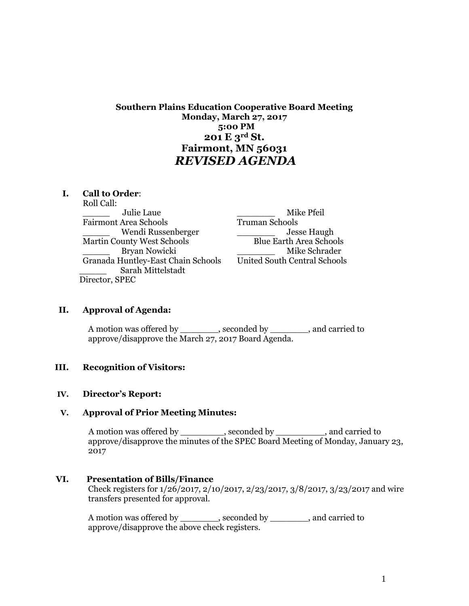# **Southern Plains Education Cooperative Board Meeting Monday, March 27, 2017 5:00 PM 201 E 3rd St. Fairmont, MN 56031** *REVISED AGENDA*

### **I. Call to Order**:

Roll Call: \_\_\_\_\_ Julie Laue \_\_\_\_\_\_\_ Mike Pfeil Fairmont Area Schools Truman Schools Wendi Russenberger \_\_\_\_\_\_\_\_\_\_\_\_ Jesse Haugh Martin County West Schools Blue Earth Area Schools Bryan Nowicki **Example 2018** Mike Schrader Granada Huntley-East Chain Schools United South Central Schools \_\_\_\_\_ Sarah Mittelstadt Director, SPEC

## **II. Approval of Agenda:**

A motion was offered by example by seconded by  $\qquad \qquad$ , and carried to approve/disapprove the March 27, 2017 Board Agenda.

#### **III. Recognition of Visitors:**

#### **IV. Director's Report:**

#### **V. Approval of Prior Meeting Minutes:**

A motion was offered by \_\_\_\_\_\_\_\_, seconded by \_\_\_\_\_\_\_\_, and carried to approve/disapprove the minutes of the SPEC Board Meeting of Monday, January 23, 2017

# **VI. Presentation of Bills/Finance**

Check registers for 1/26/2017, 2/10/2017, 2/23/2017, 3/8/2017, 3/23/2017 and wire transfers presented for approval.

A motion was offered by \_\_\_\_\_\_\_\_, seconded by \_\_\_\_\_\_\_\_, and carried to approve/disapprove the above check registers.